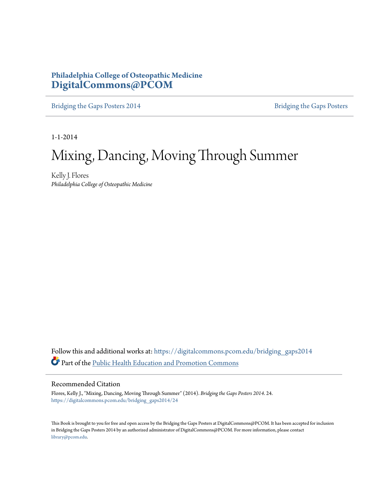#### **Philadelphia College of Osteopathic Medicine [DigitalCommons@PCOM](https://digitalcommons.pcom.edu?utm_source=digitalcommons.pcom.edu%2Fbridging_gaps2014%2F24&utm_medium=PDF&utm_campaign=PDFCoverPages)**

[Bridging the Gaps Posters 2014](https://digitalcommons.pcom.edu/bridging_gaps2014?utm_source=digitalcommons.pcom.edu%2Fbridging_gaps2014%2F24&utm_medium=PDF&utm_campaign=PDFCoverPages) [Bridging the Gaps Posters](https://digitalcommons.pcom.edu/bridging_gaps?utm_source=digitalcommons.pcom.edu%2Fbridging_gaps2014%2F24&utm_medium=PDF&utm_campaign=PDFCoverPages)

1-1-2014

#### Mixing, Dancing, Moving Through Summer

Kelly J. Flores *Philadelphia College of Osteopathic Medicine*

Follow this and additional works at: [https://digitalcommons.pcom.edu/bridging\\_gaps2014](https://digitalcommons.pcom.edu/bridging_gaps2014?utm_source=digitalcommons.pcom.edu%2Fbridging_gaps2014%2F24&utm_medium=PDF&utm_campaign=PDFCoverPages) Part of the [Public Health Education and Promotion Commons](http://network.bepress.com/hgg/discipline/743?utm_source=digitalcommons.pcom.edu%2Fbridging_gaps2014%2F24&utm_medium=PDF&utm_campaign=PDFCoverPages)

#### Recommended Citation

Flores, Kelly J., "Mixing, Dancing, Moving Through Summer" (2014). *Bridging the Gaps Posters 2014*. 24. [https://digitalcommons.pcom.edu/bridging\\_gaps2014/24](https://digitalcommons.pcom.edu/bridging_gaps2014/24?utm_source=digitalcommons.pcom.edu%2Fbridging_gaps2014%2F24&utm_medium=PDF&utm_campaign=PDFCoverPages)

This Book is brought to you for free and open access by the Bridging the Gaps Posters at DigitalCommons@PCOM. It has been accepted for inclusion in Bridging the Gaps Posters 2014 by an authorized administrator of DigitalCommons@PCOM. For more information, please contact [library@pcom.edu](mailto:library@pcom.edu).